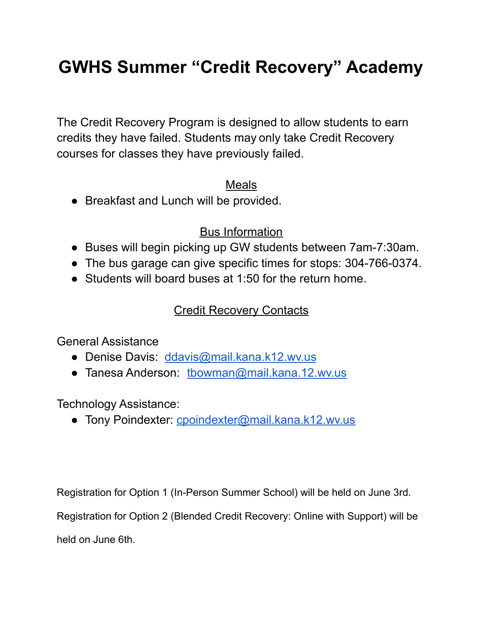# **GWHS Summer "Credit Recovery" Academy**

The Credit Recovery Program is designed to allow students to earn credits they have failed. Students may only take Credit Recovery courses for classes they have previously failed.

### Meals

● Breakfast and Lunch will be provided.

### Bus Information

- Buses will begin picking up GW students between 7am-7:30am.
- The bus garage can give specific times for stops: 304-766-0374.
- Students will board buses at 1:50 for the return home.

### Credit Recovery Contacts

General Assistance

- Denise Davis: [ddavis@mail.kana.k12.wv.us](mailto:ddavis@mail.kana.k12.wv.us)
- Tanesa Anderson: [tbowman@mail.kana.12.wv.us](mailto:tbowman@mail.kana.12.wv.us)

Technology Assistance:

● Tony Poindexter: [cpoindexter@mail.kana.k12.wv.us](mailto:cpoindexter@mail.kana.wv.us)

Registration for Option 1 (In-Person Summer School) will be held on June 3rd.

Registration for Option 2 (Blended Credit Recovery: Online with Support) will be

held on June 6th.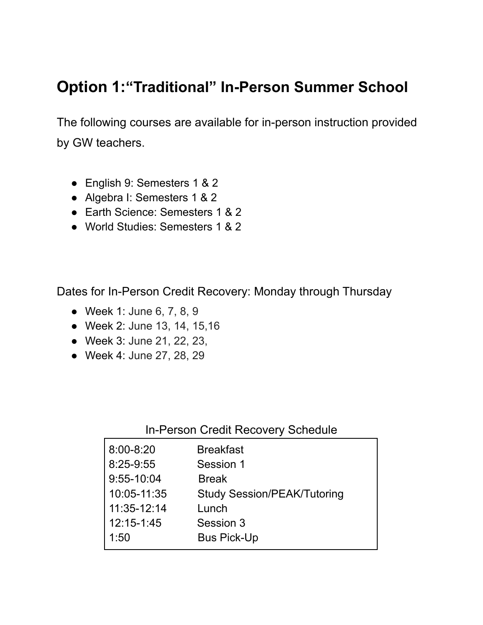## **Option 1:"Traditional" In-Person Summer School**

The following courses are available for in-person instruction provided by GW teachers.

- English 9: Semesters 1 & 2
- Algebra I: Semesters 1 & 2
- Earth Science: Semesters 1 & 2
- World Studies: Semesters 1 & 2

Dates for In-Person Credit Recovery: Monday through Thursday

- Week 1: June 6, 7, 8, 9
- Week 2: June 13, 14, 15,16
- Week 3: June 21, 22, 23,
- Week 4: June 27, 28, 29

### In-Person Credit Recovery Schedule

| <b>Breakfast</b>                   |
|------------------------------------|
| Session 1                          |
| <b>Break</b>                       |
| <b>Study Session/PEAK/Tutoring</b> |
| Lunch                              |
| Session 3                          |
| <b>Bus Pick-Up</b>                 |
|                                    |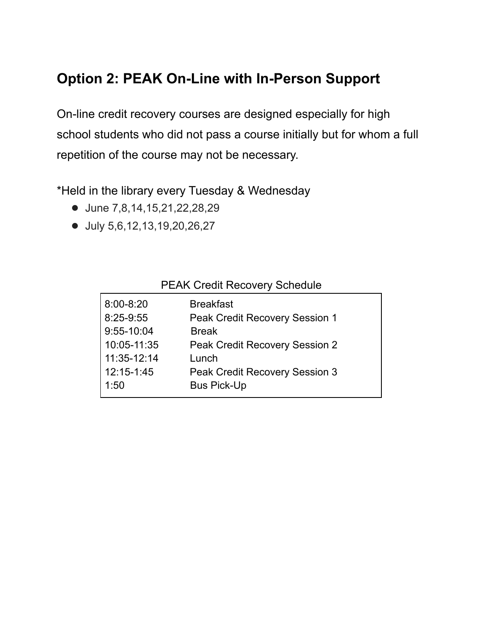## **Option 2: PEAK On-Line with In-Person Support**

On-line credit recovery courses are designed especially for high school students who did not pass a course initially but for whom a full repetition of the course may not be necessary.

\*Held in the library every Tuesday & Wednesday

- June 7,8,14,15,21,22,28,29
- July 5,6,12,13,19,20,26,27

#### PEAK Credit Recovery Schedule

| $8:00 - 8:20$<br>8:25-9:55<br>9:55-10:04<br>10:05-11:35<br>11:35-12:14 | <b>Breakfast</b><br>Peak Credit Recovery Session 1<br><b>Break</b><br><b>Peak Credit Recovery Session 2</b><br>Lunch |
|------------------------------------------------------------------------|----------------------------------------------------------------------------------------------------------------------|
| 12:15-1:45                                                             | Peak Credit Recovery Session 3                                                                                       |
| 1:50                                                                   | <b>Bus Pick-Up</b>                                                                                                   |